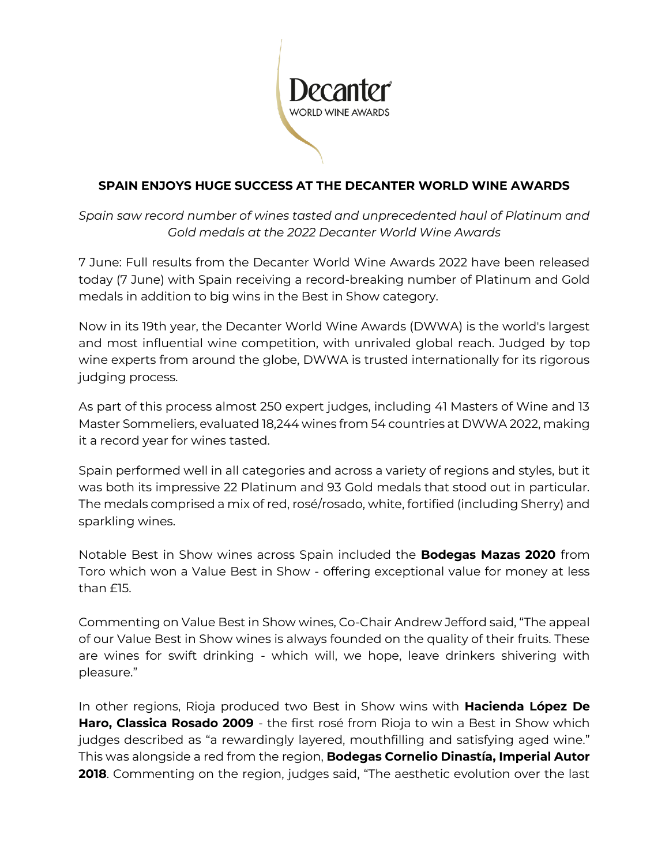

# **SPAIN ENJOYS HUGE SUCCESS AT THE DECANTER WORLD WINE AWARDS**

*Spain saw record number of wines tasted and unprecedented haul of Platinum and Gold medals at the 2022 Decanter World Wine Awards*

7 June: Full results from the Decanter World Wine Awards 2022 have been released today (7 June) with Spain receiving a record-breaking number of Platinum and Gold medals in addition to big wins in the Best in Show category.

Now in its 19th year, the Decanter World Wine Awards (DWWA) is the world's largest and most influential wine competition, with unrivaled global reach. Judged by top wine experts from around the globe, DWWA is trusted internationally for its rigorous judging process.

As part of this process almost 250 expert judges, including 41 Masters of Wine and 13 Master Sommeliers, evaluated 18,244 wines from 54 countries at DWWA 2022, making it a record year for wines tasted.

Spain performed well in all categories and across a variety of regions and styles, but it was both its impressive 22 Platinum and 93 Gold medals that stood out in particular. The medals comprised a mix of red, rosé/rosado, white, fortified (including Sherry) and sparkling wines.

Notable Best in Show wines across Spain included the **Bodegas Mazas 2020** from Toro which won a Value Best in Show - offering exceptional value for money at less than £15.

Commenting on Value Best in Show wines, Co-Chair Andrew Jefford said, "The appeal of our Value Best in Show wines is always founded on the quality of their fruits. These are wines for swift drinking - which will, we hope, leave drinkers shivering with pleasure."

In other regions, Rioja produced two Best in Show wins with **Hacienda López De Haro, Classica Rosado 2009** - the first rosé from Rioja to win a Best in Show which judges described as "a rewardingly layered, mouthfilling and satisfying aged wine." This was alongside a red from the region, **Bodegas Cornelio Dinastía, Imperial Autor 2018**. Commenting on the region, judges said, "The aesthetic evolution over the last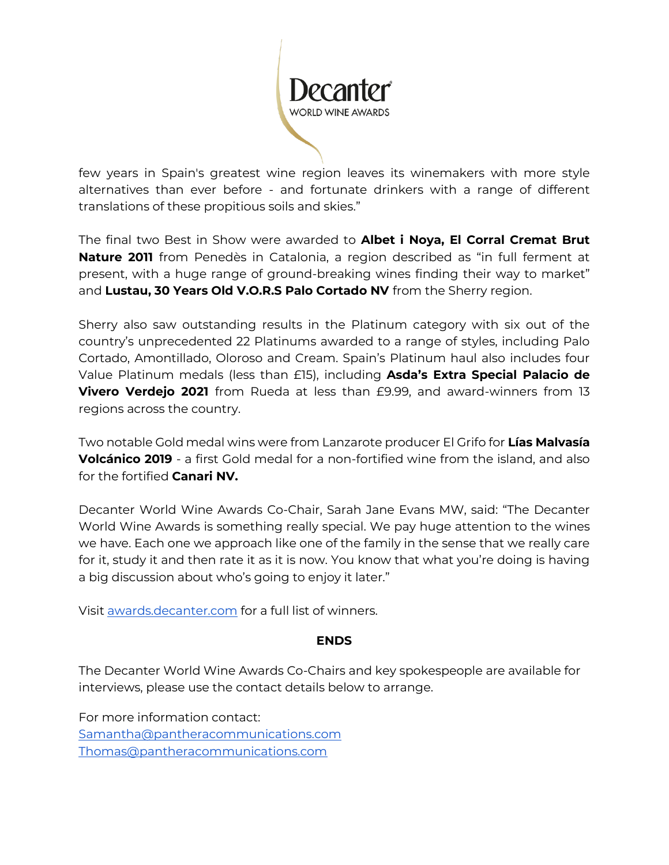

few years in Spain's greatest wine region leaves its winemakers with more style alternatives than ever before - and fortunate drinkers with a range of different translations of these propitious soils and skies."

The final two Best in Show were awarded to **Albet i Noya, El Corral Cremat Brut Nature 2011** from Penedès in Catalonia, a region described as "in full ferment at present, with a huge range of ground-breaking wines finding their way to market" and **Lustau, 30 Years Old V.O.R.S Palo Cortado NV** from the Sherry region.

Sherry also saw outstanding results in the Platinum category with six out of the country's unprecedented 22 Platinums awarded to a range of styles, including Palo Cortado, Amontillado, Oloroso and Cream. Spain's Platinum haul also includes four Value Platinum medals (less than £15), including **Asda's Extra Special Palacio de Vivero Verdejo 2021** from Rueda at less than £9.99, and award-winners from 13 regions across the country.

Two notable Gold medal wins were from Lanzarote producer El Grifo for **Lías Malvasía Volcánico 2019** - a first Gold medal for a non-fortified wine from the island, and also for the fortified **Canari NV.** 

Decanter World Wine Awards Co-Chair, Sarah Jane Evans MW, said: "The Decanter World Wine Awards is something really special. We pay huge attention to the wines we have. Each one we approach like one of the family in the sense that we really care for it, study it and then rate it as it is now. You know that what you're doing is having a big discussion about who's going to enjoy it later."

Visit [awards.decanter.com](https://awards.decanter.com/DWWA/any/search/wines) for a full list of winners.

#### **ENDS**

The Decanter World Wine Awards Co-Chairs and key spokespeople are available for interviews, please use the contact details below to arrange.

For more information contact: [Samantha@pantheracommunications.com](mailto:Samantha@pantheracommunications.com) [Thomas@pantheracommunications.com](mailto:Thomas@pantheracommunications.com)